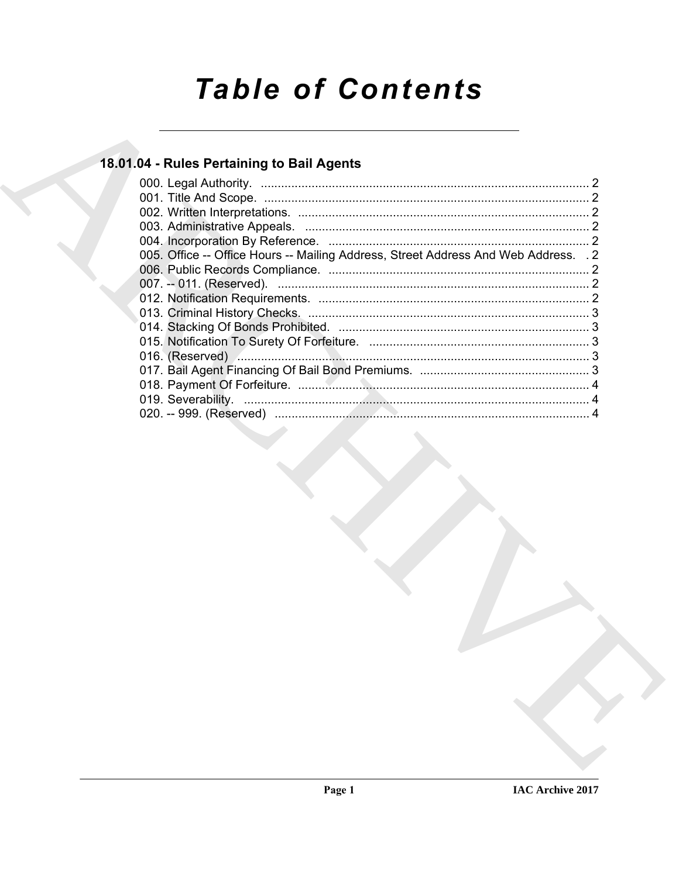# **Table of Contents**

# 18.01.04 - Rules Pertaining to Bail Agents

| 005. Office -- Office Hours -- Mailing Address, Street Address And Web Address. . 2 |
|-------------------------------------------------------------------------------------|
|                                                                                     |
|                                                                                     |
|                                                                                     |
|                                                                                     |
|                                                                                     |
|                                                                                     |
|                                                                                     |
|                                                                                     |
|                                                                                     |
|                                                                                     |
|                                                                                     |
|                                                                                     |
|                                                                                     |
|                                                                                     |
|                                                                                     |
|                                                                                     |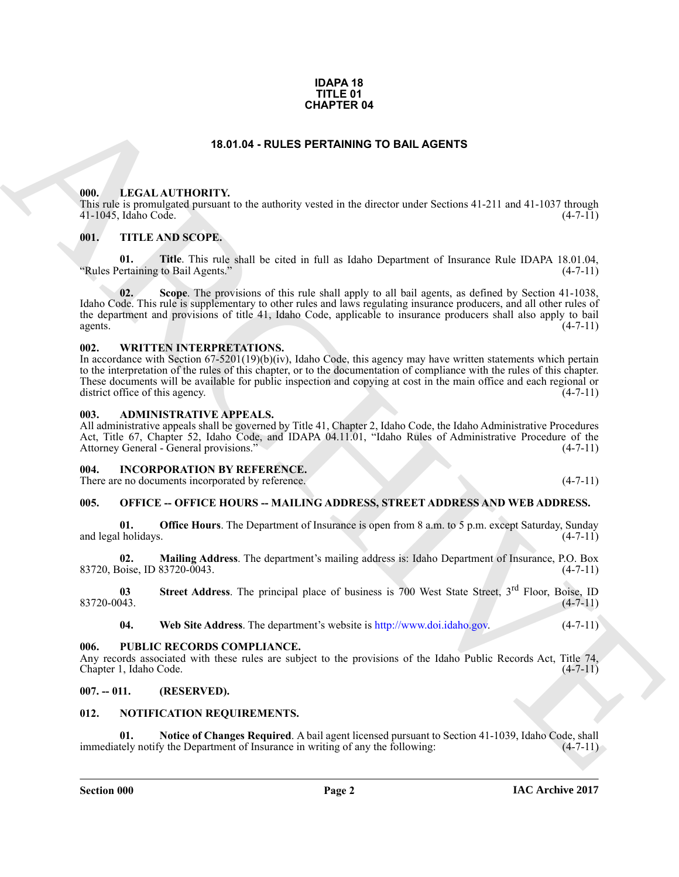#### **IDAPA 18 TITLE 01 CHAPTER 04**

#### **18.01.04 - RULES PERTAINING TO BAIL AGENTS**

#### <span id="page-1-1"></span><span id="page-1-0"></span>**000. LEGAL AUTHORITY.**

This rule is promulgated pursuant to the authority vested in the director under Sections 41-211 and 41-1037 through 41-1045, Idaho Code. (4-7-11)

#### <span id="page-1-2"></span>**001. TITLE AND SCOPE.**

**01. Title**. This rule shall be cited in full as Idaho Department of Insurance Rule IDAPA 18.01.04, "Rules Pertaining to Bail Agents."

**CHAPTER 64**<br> **CHARCH ATTIONITY:** in the nuberity vanited in the direction wave Sections 41.211 and 41.1037 decays<br>
THE ARCHI[V](http://www.doi.idaho.gov)E STREET IN the distribution of the state section of the state section of the state of the main **02. Scope**. The provisions of this rule shall apply to all bail agents, as defined by Section 41-1038, Idaho Code. This rule is supplementary to other rules and laws regulating insurance producers, and all other rules of the department and provisions of title 41, Idaho Code, applicable to insurance producers shall also apply to bail agents.  $(4-7-11)$ 

#### <span id="page-1-3"></span>**002. WRITTEN INTERPRETATIONS.**

In accordance with Section 67-5201(19)(b)(iv), Idaho Code, this agency may have written statements which pertain to the interpretation of the rules of this chapter, or to the documentation of compliance with the rules of this chapter. These documents will be available for public inspection and copying at cost in the main office and each regional or district office of this agency. district office of this agency.

#### <span id="page-1-4"></span>**003. ADMINISTRATIVE APPEALS.**

All administrative appeals shall be governed by Title 41, Chapter 2, Idaho Code, the Idaho Administrative Procedures Act, Title 67, Chapter 52, Idaho Code, and IDAPA 04.11.01, "Idaho Rules of Administrative Procedure of the Attorney General - General provisions." (4-7-11)

#### <span id="page-1-5"></span>**004. INCORPORATION BY REFERENCE.**

There are no documents incorporated by reference. (4-7-11)

#### <span id="page-1-6"></span>**005. OFFICE -- OFFICE HOURS -- MAILING ADDRESS, STREET ADDRESS AND WEB ADDRESS.**

**01. Office Hours**. The Department of Insurance is open from 8 a.m. to 5 p.m. except Saturday, Sunday (4-7-11) and legal holidays.

**02. Mailing Address**. The department's mailing address is: Idaho Department of Insurance, P.O. Box 83720, Boise, ID 83720-0043.

**03** Street Address. The principal place of business is 700 West State Street, 3<sup>rd</sup> Floor, Boise, ID<br>(4-7-11)  $83720-0043.$  (4-7-11)

**04. Web Site Address**. The department's website is http://www.doi.idaho.gov. (4-7-11)

#### <span id="page-1-7"></span>**006. PUBLIC RECORDS COMPLIANCE.**

Any records associated with these rules are subject to the provisions of the Idaho Public Records Act, Title 74, Chapter 1, Idaho Code. (4-7-11) Chapter 1, Idaho Code.

#### <span id="page-1-8"></span>**007. -- 011. (RESERVED).**

#### <span id="page-1-10"></span><span id="page-1-9"></span>**012. NOTIFICATION REQUIREMENTS.**

<span id="page-1-11"></span>**01.** Notice of Changes Required. A bail agent licensed pursuant to Section 41-1039, Idaho Code, shall tely notify the Department of Insurance in writing of any the following: (4-7-11) immediately notify the Department of Insurance in writing of any the following: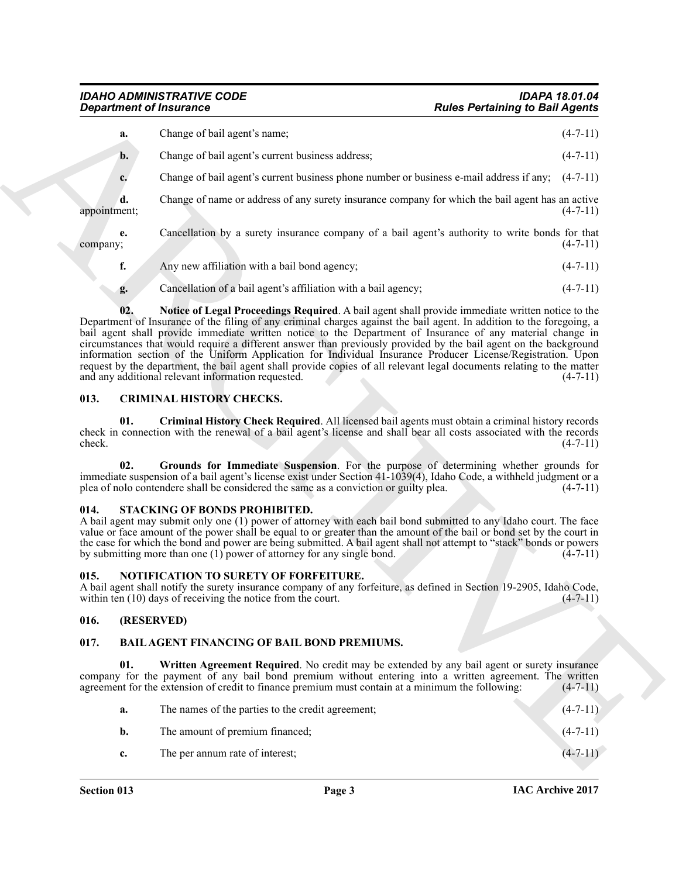|                    | <b>Department of Insurance</b>                                                                                                                                                                                                                                                                                                                                                                                                                                                                                                                                                                                                                                                                                                                            | <b>Rules Pertaining to Bail Agents</b> |
|--------------------|-----------------------------------------------------------------------------------------------------------------------------------------------------------------------------------------------------------------------------------------------------------------------------------------------------------------------------------------------------------------------------------------------------------------------------------------------------------------------------------------------------------------------------------------------------------------------------------------------------------------------------------------------------------------------------------------------------------------------------------------------------------|----------------------------------------|
| a.                 | Change of bail agent's name;                                                                                                                                                                                                                                                                                                                                                                                                                                                                                                                                                                                                                                                                                                                              | $(4-7-11)$                             |
| $\mathbf{b}$ .     | Change of bail agent's current business address;                                                                                                                                                                                                                                                                                                                                                                                                                                                                                                                                                                                                                                                                                                          | $(4-7-11)$                             |
| c.                 | Change of bail agent's current business phone number or business e-mail address if any; $(4-7-11)$                                                                                                                                                                                                                                                                                                                                                                                                                                                                                                                                                                                                                                                        |                                        |
| d.<br>appointment; | Change of name or address of any surety insurance company for which the bail agent has an active                                                                                                                                                                                                                                                                                                                                                                                                                                                                                                                                                                                                                                                          | $(4-7-11)$                             |
| e.<br>company;     | Cancellation by a surety insurance company of a bail agent's authority to write bonds for that                                                                                                                                                                                                                                                                                                                                                                                                                                                                                                                                                                                                                                                            | $(4-7-11)$                             |
| f.                 | Any new affiliation with a bail bond agency;                                                                                                                                                                                                                                                                                                                                                                                                                                                                                                                                                                                                                                                                                                              | $(4-7-11)$                             |
| g.                 | Cancellation of a bail agent's affiliation with a bail agency;                                                                                                                                                                                                                                                                                                                                                                                                                                                                                                                                                                                                                                                                                            | $(4-7-11)$                             |
| 02.                | Notice of Legal Proceedings Required. A bail agent shall provide immediate written notice to the<br>Department of Insurance of the filing of any criminal charges against the bail agent. In addition to the foregoing, a<br>bail agent shall provide immediate written notice to the Department of Insurance of any material change in<br>circumstances that would require a different answer than previously provided by the bail agent on the background<br>information section of the Uniform Application for Individual Insurance Producer License/Registration. Upon<br>request by the department, the bail agent shall provide copies of all relevant legal documents relating to the matter<br>and any additional relevant information requested. | $(4-7-11)$                             |
| 013.               | <b>CRIMINAL HISTORY CHECKS.</b>                                                                                                                                                                                                                                                                                                                                                                                                                                                                                                                                                                                                                                                                                                                           |                                        |
| 01.<br>check.      | Criminal History Check Required. All licensed bail agents must obtain a criminal history records<br>check in connection with the renewal of a bail agent's license and shall bear all costs associated with the records                                                                                                                                                                                                                                                                                                                                                                                                                                                                                                                                   | $(4-7-11)$                             |
| 02.                | Grounds for Immediate Suspension. For the purpose of determining whether grounds for<br>immediate suspension of a bail agent's license exist under Section 41-1039(4), Idaho Code, a withheld judgment or a<br>plea of nolo contendere shall be considered the same as a conviction or guilty plea.                                                                                                                                                                                                                                                                                                                                                                                                                                                       | $(4-7-11)$                             |
| 014.               | STACKING OF BONDS PROHIBITED.<br>A bail agent may submit only one (1) power of attorney with each bail bond submitted to any Idaho court. The face<br>value or face amount of the power shall be equal to or greater than the amount of the bail or bond set by the court in<br>the case for which the bond and power are being submitted. A bail agent shall not attempt to "stack" bonds or powers<br>by submitting more than one $(1)$ power of attorney for any single bond.                                                                                                                                                                                                                                                                          | $(4-7-11)$                             |
| 015.               | NOTIFICATION TO SURETY OF FORFEITURE.<br>A bail agent shall notify the surety insurance company of any forfeiture, as defined in Section 19-2905, Idaho Code,<br>within ten (10) days of receiving the notice from the court.                                                                                                                                                                                                                                                                                                                                                                                                                                                                                                                             | $(4 - 7 - 11)$                         |
| 016.               | (RESERVED)                                                                                                                                                                                                                                                                                                                                                                                                                                                                                                                                                                                                                                                                                                                                                |                                        |
| 017.               | <b>BAIL AGENT FINANCING OF BAIL BOND PREMIUMS.</b>                                                                                                                                                                                                                                                                                                                                                                                                                                                                                                                                                                                                                                                                                                        |                                        |
| 01.                | Written Agreement Required. No credit may be extended by any bail agent or surety insurance<br>company for the payment of any bail bond premium without entering into a written agreement. The written<br>agreement for the extension of credit to finance premium must contain at a minimum the following:                                                                                                                                                                                                                                                                                                                                                                                                                                               | $(4-7-11)$                             |
|                    |                                                                                                                                                                                                                                                                                                                                                                                                                                                                                                                                                                                                                                                                                                                                                           |                                        |
| a.                 | The names of the parties to the credit agreement;                                                                                                                                                                                                                                                                                                                                                                                                                                                                                                                                                                                                                                                                                                         | $(4-7-11)$                             |
| b.                 | The amount of premium financed;                                                                                                                                                                                                                                                                                                                                                                                                                                                                                                                                                                                                                                                                                                                           | $(4-7-11)$                             |

#### <span id="page-2-10"></span><span id="page-2-9"></span><span id="page-2-7"></span><span id="page-2-0"></span>**013. CRIMINAL HISTORY CHECKS.**

#### <span id="page-2-12"></span><span id="page-2-8"></span><span id="page-2-1"></span>**014. STACKING OF BONDS PROHIBITED.**

#### <span id="page-2-11"></span><span id="page-2-2"></span>**015. NOTIFICATION TO SURETY OF FORFEITURE.**

#### <span id="page-2-3"></span>**016. (RESERVED)**

#### <span id="page-2-5"></span><span id="page-2-4"></span>**017. BAIL AGENT FINANCING OF BAIL BOND PREMIUMS.**

<span id="page-2-6"></span>

| a.          | The names of the parties to the credit agreement; | $(4-7-11)$ |
|-------------|---------------------------------------------------|------------|
| b.          | The amount of premium financed:                   | $(4-7-11)$ |
| $c_{\cdot}$ | The per annum rate of interest;                   | $(4-7-11)$ |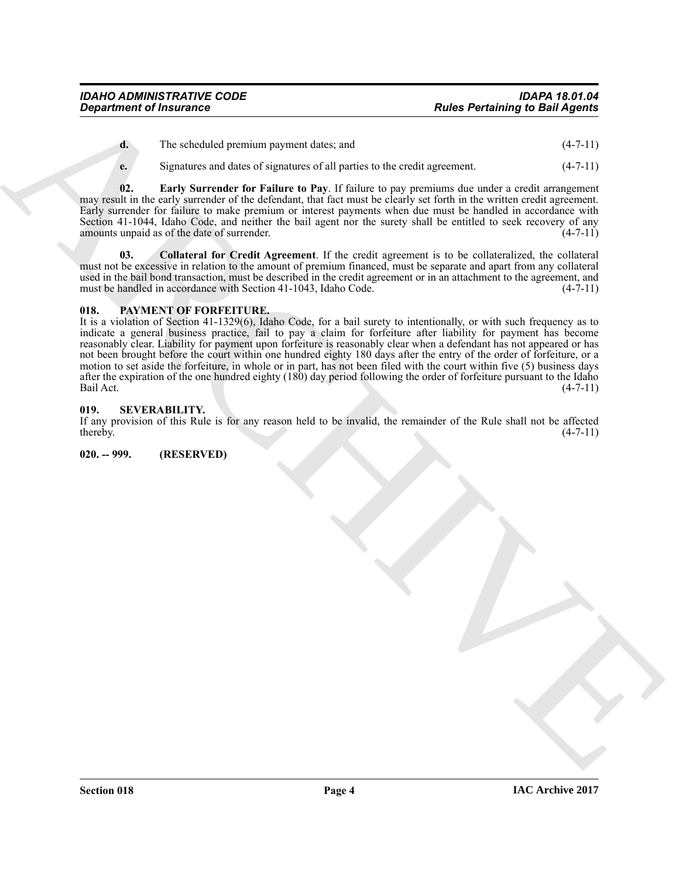| d. | The scheduled premium payment dates; and | $(4-7-11)$ |
|----|------------------------------------------|------------|
|----|------------------------------------------|------------|

<span id="page-3-4"></span>**e.** Signatures and dates of signatures of all parties to the credit agreement. (4-7-11)

**02. Early Surrender for Failure to Pay**. If failure to pay premiums due under a credit arrangement may result in the early surrender of the defendant, that fact must be clearly set forth in the written credit agreement. Early surrender for failure to make premium or interest payments when due must be handled in accordance with Section 41-1044, Idaho Code, and neither the bail agent nor the surety shall be entitled to seek recovery of any amounts unpaid as of the date of surrender. (4-7-11)

<span id="page-3-3"></span>**03. Collateral for Credit Agreement**. If the credit agreement is to be collateralized, the collateral must not be excessive in relation to the amount of premium financed, must be separate and apart from any collateral used in the bail bond transaction, must be described in the credit agreement or in an attachment to the agreement, and must be handled in accordance with Section 41-1043, Idaho Code. (4-7-11)

#### <span id="page-3-5"></span><span id="page-3-0"></span>**018. PAYMENT OF FORFEITURE.**

**Experiment of Insurance**<br> **A lies contained the state of the contained in the state of the state of the state of the state of the state of the state of the state of the state of the state of the state of the state of the** It is a violation of Section 41-1329(6), Idaho Code, for a bail surety to intentionally, or with such frequency as to indicate a general business practice, fail to pay a claim for forfeiture after liability for payment has become reasonably clear. Liability for payment upon forfeiture is reasonably clear when a defendant has not appeared or has not been brought before the court within one hundred eighty 180 days after the entry of the order of forfeiture, or a motion to set aside the forfeiture, in whole or in part, has not been filed with the court within five (5) business days after the expiration of the one hundred eighty  $(180)$  day period following the order of forfeiture pursuant to the Idaho Bail Act.  $(4-7-11)$ Bail Act. (4-7-11)

#### <span id="page-3-1"></span>**019. SEVERABILITY.**

If any provision of this Rule is for any reason held to be invalid, the remainder of the Rule shall not be affected thereby.  $(4-7-11)$ 

#### <span id="page-3-2"></span>**020. -- 999. (RESERVED)**